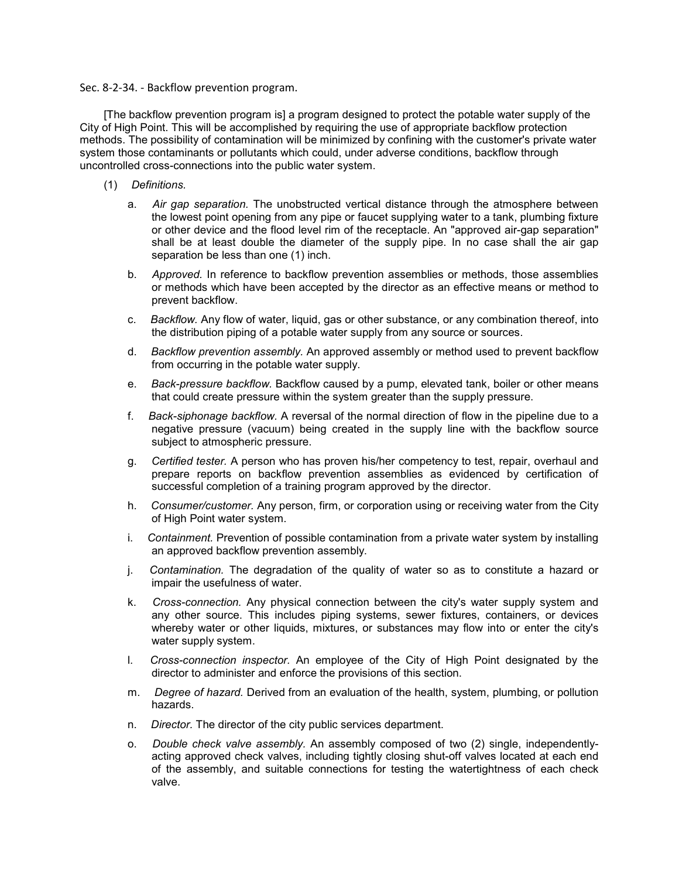Sec. 8-2-34. - Backflow prevention program.

[The backflow prevention program is] a program designed to protect the potable water supply of the City of High Point. This will be accomplished by requiring the use of appropriate backflow protection methods. The possibility of contamination will be minimized by confining with the customer's private water system those contaminants or pollutants which could, under adverse conditions, backflow through uncontrolled cross-connections into the public water system.

- (1) *Definitions.*
	- a. *Air gap separation.* The unobstructed vertical distance through the atmosphere between the lowest point opening from any pipe or faucet supplying water to a tank, plumbing fixture or other device and the flood level rim of the receptacle. An "approved air-gap separation" shall be at least double the diameter of the supply pipe. In no case shall the air gap separation be less than one (1) inch.
	- b. *Approved.* In reference to backflow prevention assemblies or methods, those assemblies or methods which have been accepted by the director as an effective means or method to prevent backflow.
	- c. *Backflow.* Any flow of water, liquid, gas or other substance, or any combination thereof, into the distribution piping of a potable water supply from any source or sources.
	- d. *Backflow prevention assembly.* An approved assembly or method used to prevent backflow from occurring in the potable water supply.
	- e. *Back-pressure backflow.* Backflow caused by a pump, elevated tank, boiler or other means that could create pressure within the system greater than the supply pressure.
	- f. *Back-siphonage backflow.* A reversal of the normal direction of flow in the pipeline due to a negative pressure (vacuum) being created in the supply line with the backflow source subject to atmospheric pressure.
	- g. *Certified tester.* A person who has proven his/her competency to test, repair, overhaul and prepare reports on backflow prevention assemblies as evidenced by certification of successful completion of a training program approved by the director.
	- h. *Consumer/customer.* Any person, firm, or corporation using or receiving water from the City of High Point water system.
	- i. *Containment.* Prevention of possible contamination from a private water system by installing an approved backflow prevention assembly.
	- j. *Contamination.* The degradation of the quality of water so as to constitute a hazard or impair the usefulness of water.
	- k. *Cross-connection.* Any physical connection between the city's water supply system and any other source. This includes piping systems, sewer fixtures, containers, or devices whereby water or other liquids, mixtures, or substances may flow into or enter the city's water supply system.
	- l. *Cross-connection inspector.* An employee of the City of High Point designated by the director to administer and enforce the provisions of this section.
	- m. *Degree of hazard.* Derived from an evaluation of the health, system, plumbing, or pollution hazards.
	- n. *Director.* The director of the city public services department.
	- o. *Double check valve assembly.* An assembly composed of two (2) single, independentlyacting approved check valves, including tightly closing shut-off valves located at each end of the assembly, and suitable connections for testing the watertightness of each check valve.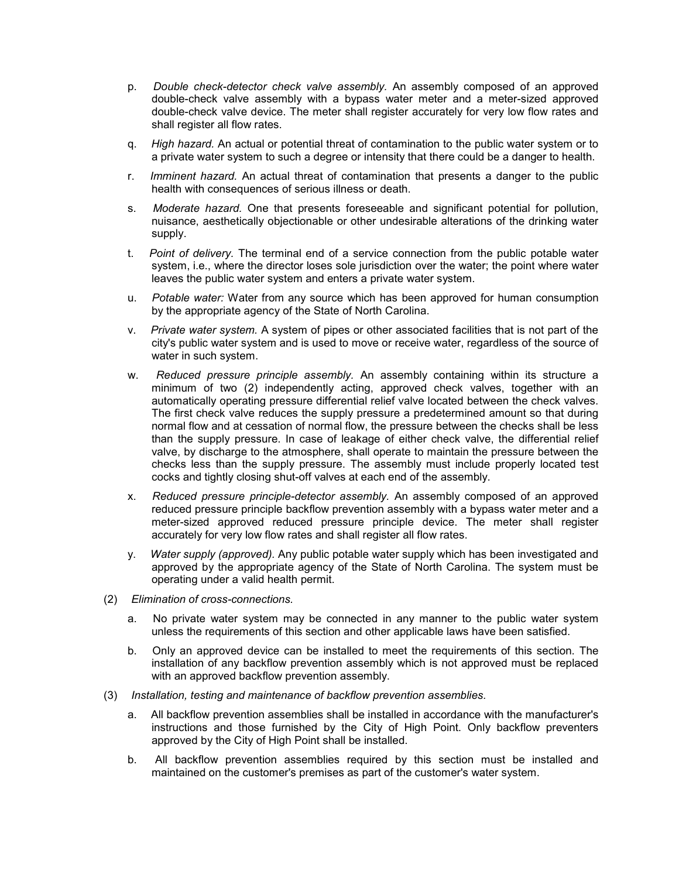- p. *Double check-detector check valve assembly.* An assembly composed of an approved double-check valve assembly with a bypass water meter and a meter-sized approved double-check valve device. The meter shall register accurately for very low flow rates and shall register all flow rates.
- q. *High hazard.* An actual or potential threat of contamination to the public water system or to a private water system to such a degree or intensity that there could be a danger to health.
- r. *Imminent hazard.* An actual threat of contamination that presents a danger to the public health with consequences of serious illness or death.
- s. *Moderate hazard.* One that presents foreseeable and significant potential for pollution, nuisance, aesthetically objectionable or other undesirable alterations of the drinking water supply.
- t. *Point of delivery.* The terminal end of a service connection from the public potable water system, i.e., where the director loses sole jurisdiction over the water; the point where water leaves the public water system and enters a private water system.
- u. *Potable water:* Water from any source which has been approved for human consumption by the appropriate agency of the State of North Carolina.
- v. *Private water system.* A system of pipes or other associated facilities that is not part of the city's public water system and is used to move or receive water, regardless of the source of water in such system.
- w. *Reduced pressure principle assembly.* An assembly containing within its structure a minimum of two (2) independently acting, approved check valves, together with an automatically operating pressure differential relief valve located between the check valves. The first check valve reduces the supply pressure a predetermined amount so that during normal flow and at cessation of normal flow, the pressure between the checks shall be less than the supply pressure. In case of leakage of either check valve, the differential relief valve, by discharge to the atmosphere, shall operate to maintain the pressure between the checks less than the supply pressure. The assembly must include properly located test cocks and tightly closing shut-off valves at each end of the assembly.
- x. *Reduced pressure principle-detector assembly.* An assembly composed of an approved reduced pressure principle backflow prevention assembly with a bypass water meter and a meter-sized approved reduced pressure principle device. The meter shall register accurately for very low flow rates and shall register all flow rates.
- y. *Water supply (approved).* Any public potable water supply which has been investigated and approved by the appropriate agency of the State of North Carolina. The system must be operating under a valid health permit.
- (2) *Elimination of cross-connections.*
	- a. No private water system may be connected in any manner to the public water system unless the requirements of this section and other applicable laws have been satisfied.
	- b. Only an approved device can be installed to meet the requirements of this section. The installation of any backflow prevention assembly which is not approved must be replaced with an approved backflow prevention assembly.
- (3) *Installation, testing and maintenance of backflow prevention assemblies.*
	- a. All backflow prevention assemblies shall be installed in accordance with the manufacturer's instructions and those furnished by the City of High Point. Only backflow preventers approved by the City of High Point shall be installed.
	- b. All backflow prevention assemblies required by this section must be installed and maintained on the customer's premises as part of the customer's water system.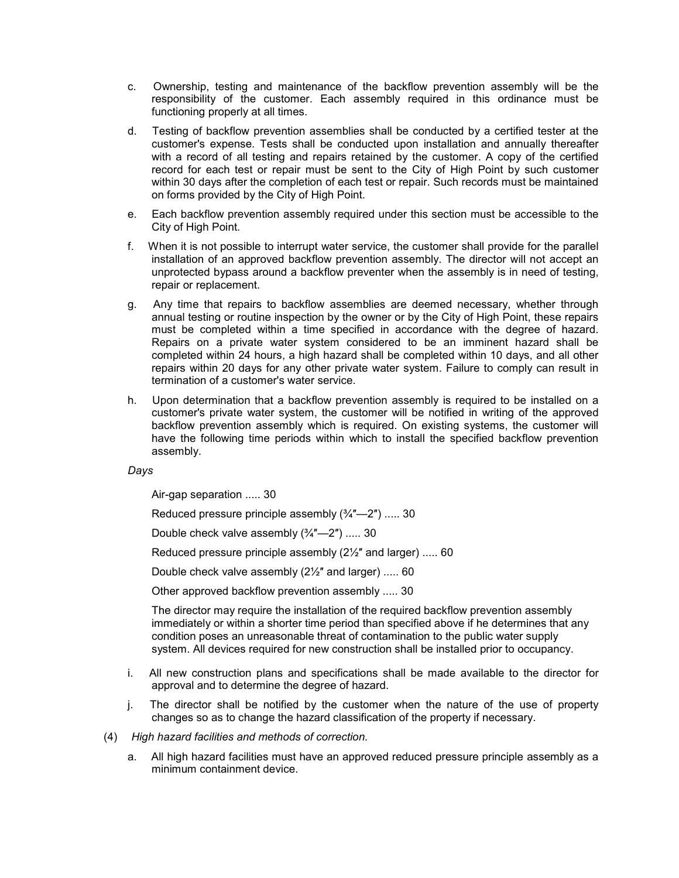- c. Ownership, testing and maintenance of the backflow prevention assembly will be the responsibility of the customer. Each assembly required in this ordinance must be functioning properly at all times.
- d. Testing of backflow prevention assemblies shall be conducted by a certified tester at the customer's expense. Tests shall be conducted upon installation and annually thereafter with a record of all testing and repairs retained by the customer. A copy of the certified record for each test or repair must be sent to the City of High Point by such customer within 30 days after the completion of each test or repair. Such records must be maintained on forms provided by the City of High Point.
- e. Each backflow prevention assembly required under this section must be accessible to the City of High Point.
- f. When it is not possible to interrupt water service, the customer shall provide for the parallel installation of an approved backflow prevention assembly. The director will not accept an unprotected bypass around a backflow preventer when the assembly is in need of testing, repair or replacement.
- g. Any time that repairs to backflow assemblies are deemed necessary, whether through annual testing or routine inspection by the owner or by the City of High Point, these repairs must be completed within a time specified in accordance with the degree of hazard. Repairs on a private water system considered to be an imminent hazard shall be completed within 24 hours, a high hazard shall be completed within 10 days, and all other repairs within 20 days for any other private water system. Failure to comply can result in termination of a customer's water service.
- h. Upon determination that a backflow prevention assembly is required to be installed on a customer's private water system, the customer will be notified in writing of the approved backflow prevention assembly which is required. On existing systems, the customer will have the following time periods within which to install the specified backflow prevention assembly.

*Days*

Air-gap separation ..... 30

Reduced pressure principle assembly  $(3/4"$ —2") ..... 30

Double check valve assembly (¾″—2″) ..... 30

Reduced pressure principle assembly (2½″ and larger) ..... 60

Double check valve assembly (2½″ and larger) ..... 60

Other approved backflow prevention assembly ..... 30

The director may require the installation of the required backflow prevention assembly immediately or within a shorter time period than specified above if he determines that any condition poses an unreasonable threat of contamination to the public water supply system. All devices required for new construction shall be installed prior to occupancy.

- i. All new construction plans and specifications shall be made available to the director for approval and to determine the degree of hazard.
- j. The director shall be notified by the customer when the nature of the use of property changes so as to change the hazard classification of the property if necessary.
- (4) *High hazard facilities and methods of correction.*
	- a. All high hazard facilities must have an approved reduced pressure principle assembly as a minimum containment device.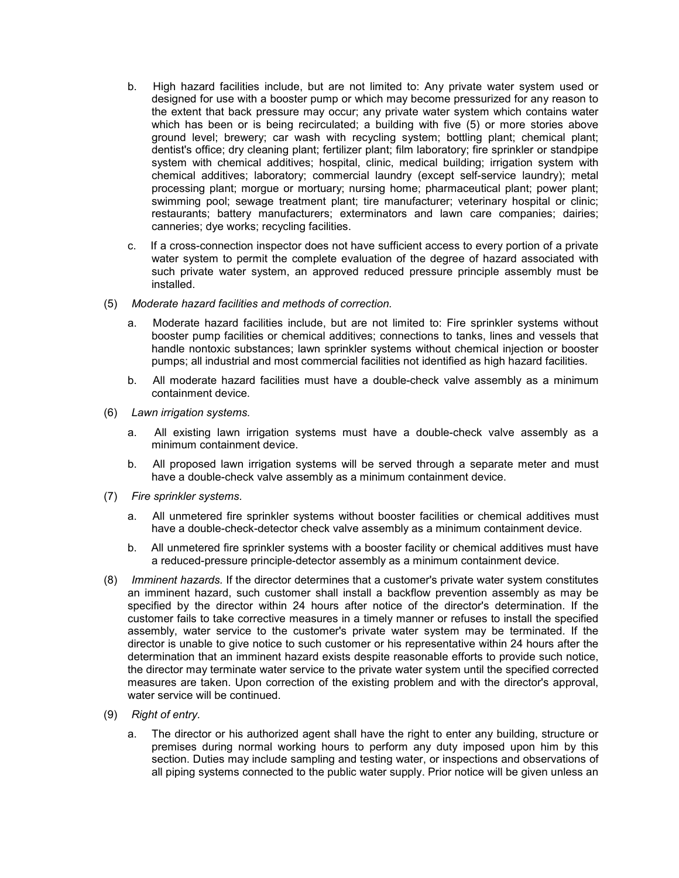- b. High hazard facilities include, but are not limited to: Any private water system used or designed for use with a booster pump or which may become pressurized for any reason to the extent that back pressure may occur; any private water system which contains water which has been or is being recirculated; a building with five (5) or more stories above ground level; brewery; car wash with recycling system; bottling plant; chemical plant; dentist's office; dry cleaning plant; fertilizer plant; film laboratory; fire sprinkler or standpipe system with chemical additives; hospital, clinic, medical building; irrigation system with chemical additives; laboratory; commercial laundry (except self-service laundry); metal processing plant; morgue or mortuary; nursing home; pharmaceutical plant; power plant; swimming pool; sewage treatment plant; tire manufacturer; veterinary hospital or clinic; restaurants; battery manufacturers; exterminators and lawn care companies; dairies; canneries; dye works; recycling facilities.
- c. If a cross-connection inspector does not have sufficient access to every portion of a private water system to permit the complete evaluation of the degree of hazard associated with such private water system, an approved reduced pressure principle assembly must be installed.
- (5) *Moderate hazard facilities and methods of correction.*
	- a. Moderate hazard facilities include, but are not limited to: Fire sprinkler systems without booster pump facilities or chemical additives; connections to tanks, lines and vessels that handle nontoxic substances; lawn sprinkler systems without chemical injection or booster pumps; all industrial and most commercial facilities not identified as high hazard facilities.
	- b. All moderate hazard facilities must have a double-check valve assembly as a minimum containment device.
- (6) *Lawn irrigation systems.*
	- a. All existing lawn irrigation systems must have a double-check valve assembly as a minimum containment device.
	- b. All proposed lawn irrigation systems will be served through a separate meter and must have a double-check valve assembly as a minimum containment device.
- (7) *Fire sprinkler systems.*
	- a. All unmetered fire sprinkler systems without booster facilities or chemical additives must have a double-check-detector check valve assembly as a minimum containment device.
	- b. All unmetered fire sprinkler systems with a booster facility or chemical additives must have a reduced-pressure principle-detector assembly as a minimum containment device.
- (8) *Imminent hazards.* If the director determines that a customer's private water system constitutes an imminent hazard, such customer shall install a backflow prevention assembly as may be specified by the director within 24 hours after notice of the director's determination. If the customer fails to take corrective measures in a timely manner or refuses to install the specified assembly, water service to the customer's private water system may be terminated. If the director is unable to give notice to such customer or his representative within 24 hours after the determination that an imminent hazard exists despite reasonable efforts to provide such notice, the director may terminate water service to the private water system until the specified corrected measures are taken. Upon correction of the existing problem and with the director's approval, water service will be continued.
- (9) *Right of entry.*
	- a. The director or his authorized agent shall have the right to enter any building, structure or premises during normal working hours to perform any duty imposed upon him by this section. Duties may include sampling and testing water, or inspections and observations of all piping systems connected to the public water supply. Prior notice will be given unless an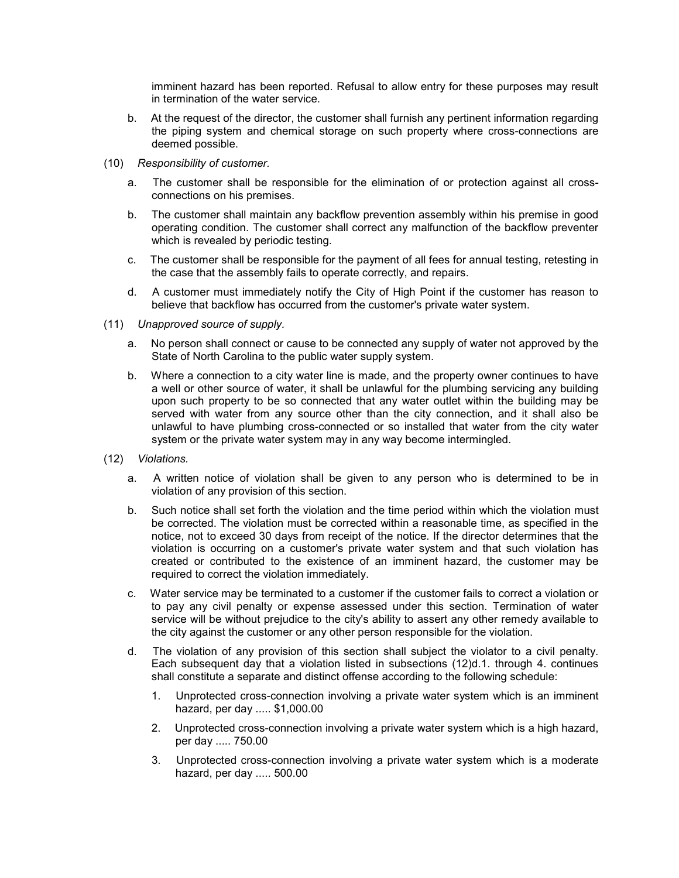imminent hazard has been reported. Refusal to allow entry for these purposes may result in termination of the water service.

- b. At the request of the director, the customer shall furnish any pertinent information regarding the piping system and chemical storage on such property where cross-connections are deemed possible.
- (10) *Responsibility of customer.*
	- a. The customer shall be responsible for the elimination of or protection against all crossconnections on his premises.
	- b. The customer shall maintain any backflow prevention assembly within his premise in good operating condition. The customer shall correct any malfunction of the backflow preventer which is revealed by periodic testing.
	- c. The customer shall be responsible for the payment of all fees for annual testing, retesting in the case that the assembly fails to operate correctly, and repairs.
	- d. A customer must immediately notify the City of High Point if the customer has reason to believe that backflow has occurred from the customer's private water system.
- (11) *Unapproved source of supply.*
	- a. No person shall connect or cause to be connected any supply of water not approved by the State of North Carolina to the public water supply system.
	- b. Where a connection to a city water line is made, and the property owner continues to have a well or other source of water, it shall be unlawful for the plumbing servicing any building upon such property to be so connected that any water outlet within the building may be served with water from any source other than the city connection, and it shall also be unlawful to have plumbing cross-connected or so installed that water from the city water system or the private water system may in any way become intermingled.
- (12) *Violations.*
	- a. A written notice of violation shall be given to any person who is determined to be in violation of any provision of this section.
	- b. Such notice shall set forth the violation and the time period within which the violation must be corrected. The violation must be corrected within a reasonable time, as specified in the notice, not to exceed 30 days from receipt of the notice. If the director determines that the violation is occurring on a customer's private water system and that such violation has created or contributed to the existence of an imminent hazard, the customer may be required to correct the violation immediately.
	- c. Water service may be terminated to a customer if the customer fails to correct a violation or to pay any civil penalty or expense assessed under this section. Termination of water service will be without prejudice to the city's ability to assert any other remedy available to the city against the customer or any other person responsible for the violation.
	- d. The violation of any provision of this section shall subject the violator to a civil penalty. Each subsequent day that a violation listed in subsections (12)d.1. through 4. continues shall constitute a separate and distinct offense according to the following schedule:
		- 1. Unprotected cross-connection involving a private water system which is an imminent hazard, per day ..... \$1,000.00
		- 2. Unprotected cross-connection involving a private water system which is a high hazard, per day ..... 750.00
		- 3. Unprotected cross-connection involving a private water system which is a moderate hazard, per day ..... 500.00